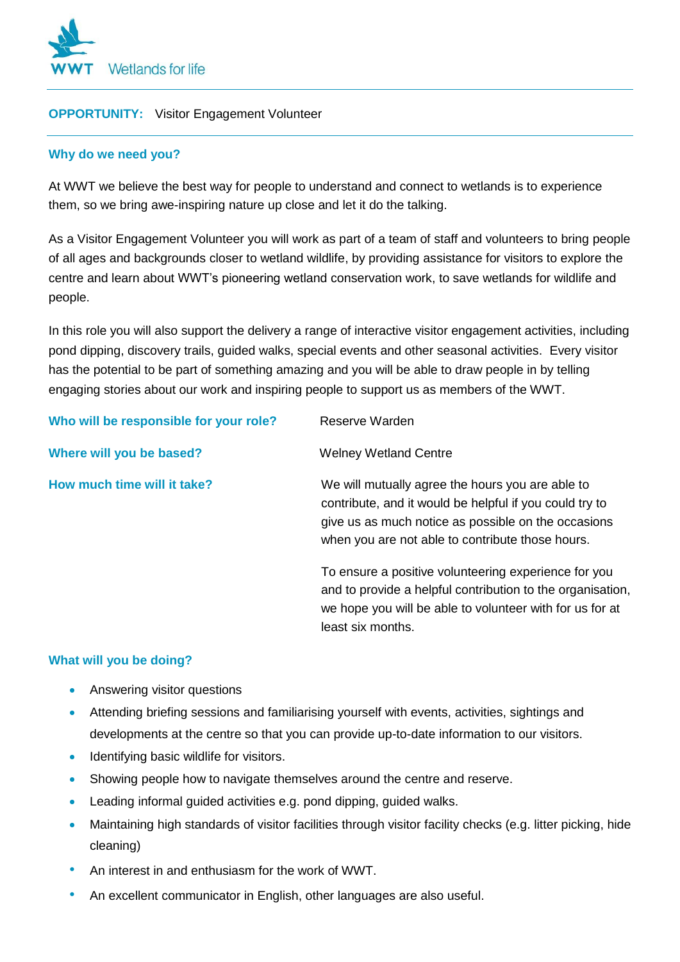

# **OPPORTUNITY:** Visitor Engagement Volunteer

# **Why do we need you?**

At WWT we believe the best way for people to understand and connect to wetlands is to experience them, so we bring awe-inspiring nature up close and let it do the talking.

As a Visitor Engagement Volunteer you will work as part of a team of staff and volunteers to bring people of all ages and backgrounds closer to wetland wildlife, by providing assistance for visitors to explore the centre and learn about WWT's pioneering wetland conservation work, to save wetlands for wildlife and people.

In this role you will also support the delivery a range of interactive visitor engagement activities, including pond dipping, discovery trails, guided walks, special events and other seasonal activities. Every visitor has the potential to be part of something amazing and you will be able to draw people in by telling engaging stories about our work and inspiring people to support us as members of the WWT.

| Who will be responsible for your role? | Reserve Warden                                                                                                                                                                                                         |
|----------------------------------------|------------------------------------------------------------------------------------------------------------------------------------------------------------------------------------------------------------------------|
| Where will you be based?               | <b>Welney Wetland Centre</b>                                                                                                                                                                                           |
| How much time will it take?            | We will mutually agree the hours you are able to<br>contribute, and it would be helpful if you could try to<br>give us as much notice as possible on the occasions<br>when you are not able to contribute those hours. |
|                                        | To ensure a positive volunteering experience for you<br>and to provide a helpful contribution to the organisation,<br>we hope you will be able to volunteer with for us for at<br>least six months.                    |

### **What will you be doing?**

- Answering visitor questions
- Attending briefing sessions and familiarising yourself with events, activities, sightings and developments at the centre so that you can provide up-to-date information to our visitors.
- **Identifying basic wildlife for visitors.**
- Showing people how to navigate themselves around the centre and reserve.
- Leading informal guided activities e.g. pond dipping, guided walks.
- Maintaining high standards of visitor facilities through visitor facility checks (e.g. litter picking, hide cleaning)
- An interest in and enthusiasm for the work of WWT.
- An excellent communicator in English, other languages are also useful.